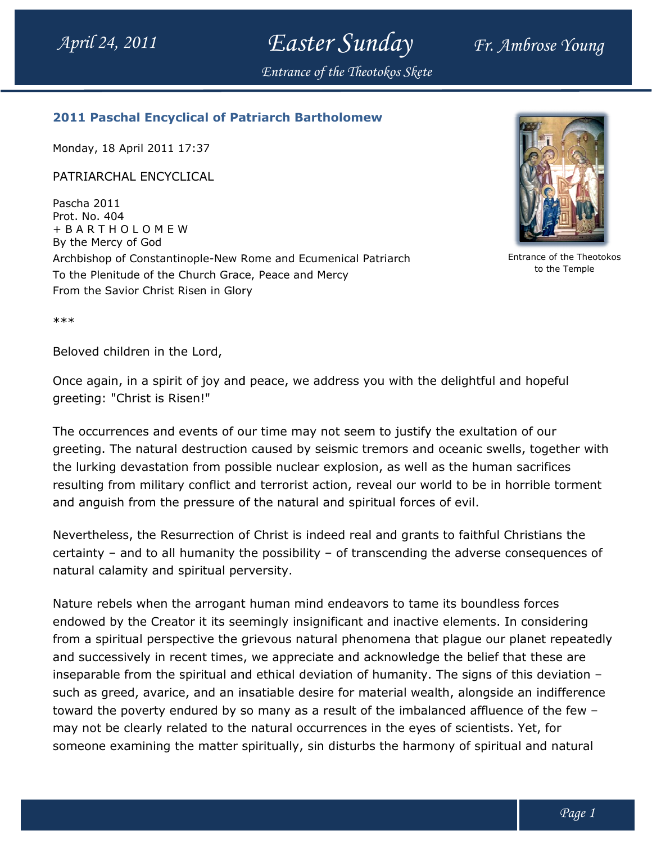Easter Sunday Fr. Ambrose Young

Entrance of the Theotokos Skete

## 2011 Paschal Encyclical of Patriarch Bartholomew Paschal Bartholomew

Monday, 18 April 2011 17:37

PATRIARCHAL ENCYCLICAL

Pascha 2011 Prot. No. 404 + B A R T H O L O M E W By the Mercy of God Archbishop of Constantinople-New Rome and Ecumenical Patriarch New Rome and Ecumenical Patriarch To the Plenitude of the Church Grace, Peace and Mercy From the Savior Christ Risen in Glory



Entrance of the Theotokos to the Temple

\*\*\*

Beloved children in the Lord,

Once again, in a spirit of joy and peace, we address you with the delightful and hopeful greeting: "Christ is Risen!"

The occurrences and events of our time may not seem to justify the exultation of our greeting. The natural destruction caused by seismic tremors and oceanic swells, together with the lurking devastation from possible nuclear explosion, as well as the human sacrifices resulting from military conflict and terrorist action, reveal our world to be in horrible torment and anguish from the pressure of the natural and spiritual forces of evil. The occurrences and events of our time may not seem to justify the exultation of our<br>greeting. The natural destruction caused by seismic tremors and oceanic swells, together with<br>the lurking devastation from possible nucle

Nevertheless, the Resurrection of Christ is indeed real and grants to faithful Christians the certainty – and to all humanity the possibility – of transcending the adverse consequences of natural calamity and spiritual perversity.

Nature rebels when the arrogant human mind endeavors to tame its boundless forces endowed by the Creator it its seemingly insignificant and inactive elements. In considering from a spiritual perspective the grievous natural phenomena that plague our planet repeatedly and successively in recent times, we appreciate and acknowledge the belief that these are inseparable from the spiritual and ethical deviation of humanity. The signs of this deviation such as greed, avarice, and an insatiable desire for material wealth, alongside an indifference toward the poverty endured by so many as a result of the imbalanced affluence of the few – may not be clearly related to the natural occurrences in the eyes of scientists. Yet, for someone examining the matter spiritually, sin disturbs the harmony of spiritual and natural 24, 2011<br> **Planet to the spiritual and Planet these are the spiritual and of the spiritual and the spiritual and the spiritual and the spiritual and the spiritual and the spiritual and the spiritual and the spiritual and** th the delightful and hopeful<br>ustify the exultation of our<br>s and oceanic swells, together with<br>well as the human sacrifices<br>our world to be in horrible torment<br>forces of evil.<br>grants to faithful Christians the<br>ding the adv